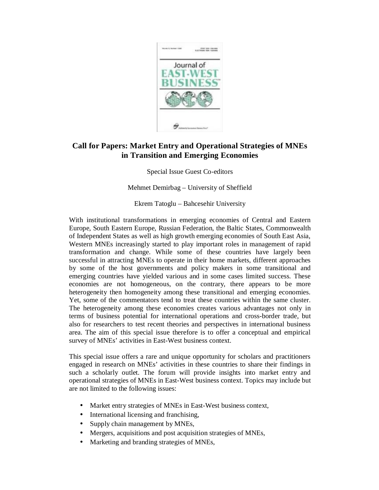

## **Call for Papers: Market Entry and Operational Strategies of MNEs in Transition and Emerging Economies**

Special Issue Guest Co-editors

Mehmet Demirbag – University of Sheffield

Ekrem Tatoglu – Bahcesehir University

With institutional transformations in emerging economies of Central and Eastern Europe, South Eastern Europe, Russian Federation, the Baltic States, Commonwealth of Independent States as well as high growth emerging economies of South East Asia, Western MNEs increasingly started to play important roles in management of rapid transformation and change. While some of these countries have largely been successful in attracting MNEs to operate in their home markets, different approaches by some of the host governments and policy makers in some transitional and emerging countries have yielded various and in some cases limited success. These economies are not homogeneous, on the contrary, there appears to be more heterogeneity then homogeneity among these transitional and emerging economies. Yet, some of the commentators tend to treat these countries within the same cluster. The heterogeneity among these economies creates various advantages not only in terms of business potential for international operations and cross-border trade, but also for researchers to test recent theories and perspectives in international business area. The aim of this special issue therefore is to offer a conceptual and empirical survey of MNEs' activities in East-West business context.

This special issue offers a rare and unique opportunity for scholars and practitioners engaged in research on MNEs' activities in these countries to share their findings in such a scholarly outlet. The forum will provide insights into market entry and operational strategies of MNEs in East-West business context. Topics may include but are not limited to the following issues:

- Market entry strategies of MNEs in East-West business context,
- International licensing and franchising,
- Supply chain management by MNEs,
- Mergers, acquisitions and post acquisition strategies of MNEs,
- Marketing and branding strategies of MNEs,